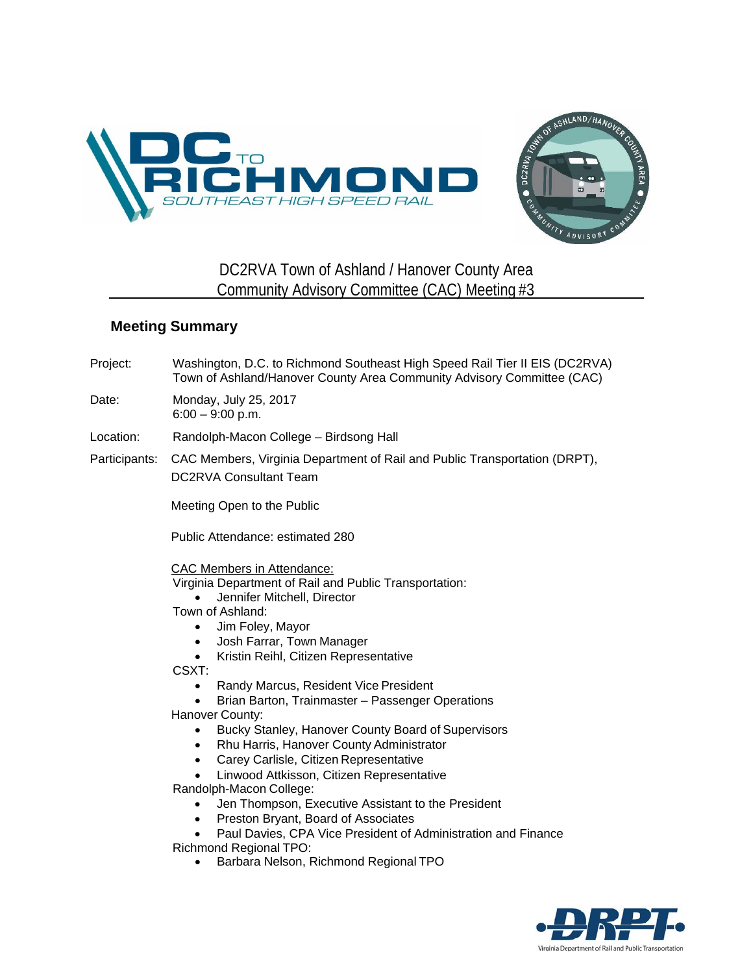



## DC2RVA Town of Ashland / Hanover County Area Community Advisory Committee (CAC) Meeting #3

## **Meeting Summary**

Project: Washington, D.C. to Richmond Southeast High Speed Rail Tier II EIS (DC2RVA) Town of Ashland/Hanover County Area Community Advisory Committee (CAC)

Date: Monday, July 25, 2017 6:00 – 9:00 p.m.

Location: Randolph-Macon College – Birdsong Hall

Participants: CAC Members, Virginia Department of Rail and Public Transportation (DRPT), DC2RVA Consultant Team

Meeting Open to the Public

Public Attendance: estimated 280

CAC Members in Attendance:

- Virginia Department of Rail and Public Transportation:
	- Jennifer Mitchell, Director
- Town of Ashland:
	- Jim Foley, Mayor
	- Josh Farrar, Town Manager
	- Kristin Reihl, Citizen Representative

CSXT:

- Randy Marcus, Resident Vice President
- Brian Barton, Trainmaster Passenger Operations
- Hanover County:
	- Bucky Stanley, Hanover County Board of Supervisors
	- Rhu Harris, Hanover County Administrator
	- Carey Carlisle, Citizen Representative
	- Linwood Attkisson, Citizen Representative

Randolph-Macon College:

- Jen Thompson, Executive Assistant to the President
- Preston Bryant, Board of Associates
- Paul Davies, CPA Vice President of Administration and Finance

Richmond Regional TPO:

• Barbara Nelson, Richmond Regional TPO

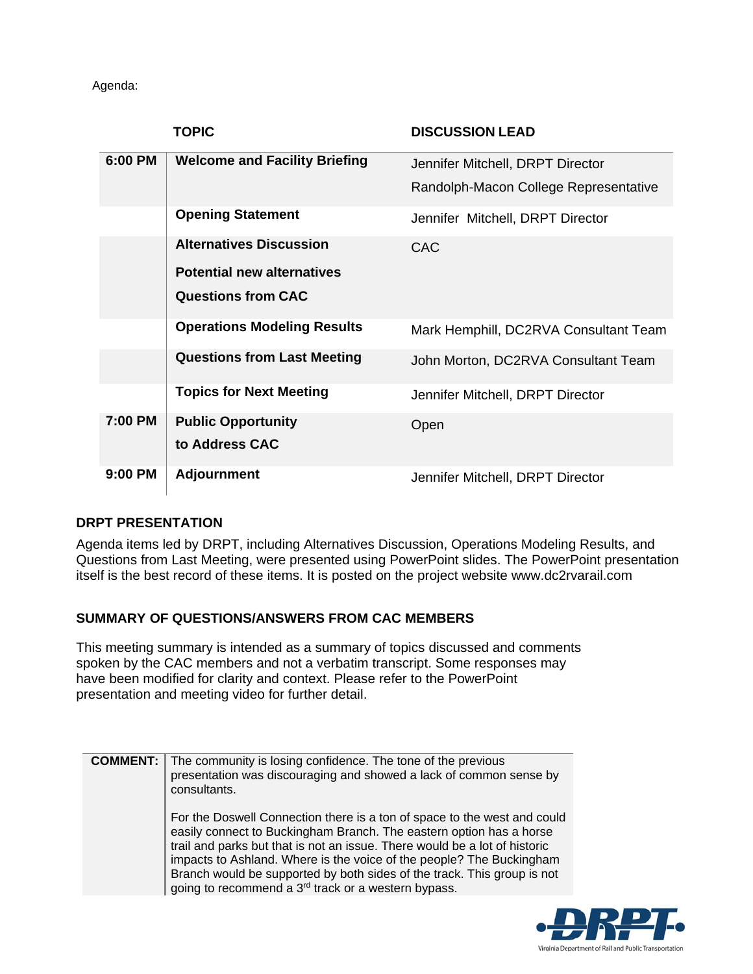Agenda:

|         | <b>TOPIC</b>                         | <b>DISCUSSION LEAD</b>                |
|---------|--------------------------------------|---------------------------------------|
| 6:00 PM | <b>Welcome and Facility Briefing</b> | Jennifer Mitchell, DRPT Director      |
|         |                                      | Randolph-Macon College Representative |
|         | <b>Opening Statement</b>             | Jennifer Mitchell, DRPT Director      |
|         | <b>Alternatives Discussion</b>       | <b>CAC</b>                            |
|         | <b>Potential new alternatives</b>    |                                       |
|         | <b>Questions from CAC</b>            |                                       |
|         | <b>Operations Modeling Results</b>   | Mark Hemphill, DC2RVA Consultant Team |
|         | <b>Questions from Last Meeting</b>   | John Morton, DC2RVA Consultant Team   |
|         | <b>Topics for Next Meeting</b>       | Jennifer Mitchell, DRPT Director      |
| 7:00 PM | <b>Public Opportunity</b>            | Open                                  |
|         | to Address CAC                       |                                       |
| 9:00 PM | <b>Adjournment</b>                   | Jennifer Mitchell, DRPT Director      |

## **DRPT PRESENTATION**

Agenda items led by DRPT, including Alternatives Discussion, Operations Modeling Results, and Questions from Last Meeting, were presented using PowerPoint slides. The PowerPoint presentation itself is the best record of these items. It is posted on the project website www.dc2rvarail.com

## **SUMMARY OF QUESTIONS/ANSWERS FROM CAC MEMBERS**

This meeting summary is intended as a summary of topics discussed and comments spoken by the CAC members and not a verbatim transcript. Some responses may have been modified for clarity and context. Please refer to the PowerPoint presentation and meeting video for further detail.

| <b>COMMENT: I</b> | The community is losing confidence. The tone of the previous<br>presentation was discouraging and showed a lack of common sense by<br>consultants.                                                                                                                                                                                                                                                                                                  |
|-------------------|-----------------------------------------------------------------------------------------------------------------------------------------------------------------------------------------------------------------------------------------------------------------------------------------------------------------------------------------------------------------------------------------------------------------------------------------------------|
|                   | For the Doswell Connection there is a ton of space to the west and could<br>easily connect to Buckingham Branch. The eastern option has a horse<br>trail and parks but that is not an issue. There would be a lot of historic<br>impacts to Ashland. Where is the voice of the people? The Buckingham<br>Branch would be supported by both sides of the track. This group is not<br>going to recommend a 3 <sup>rd</sup> track or a western bypass. |

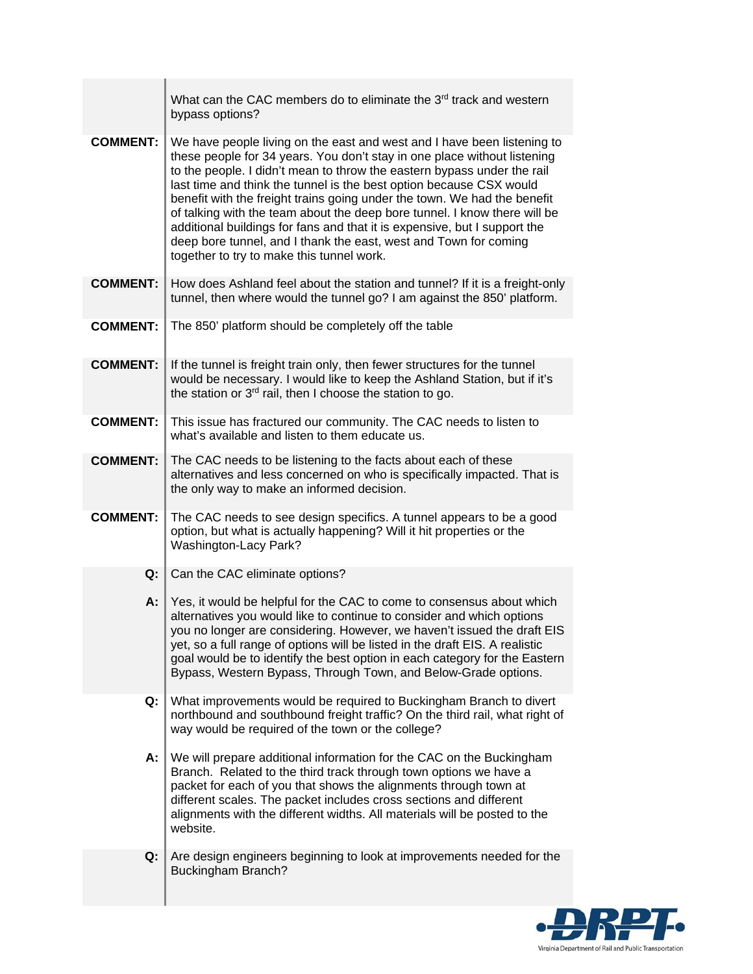|                 | What can the CAC members do to eliminate the 3 <sup>rd</sup> track and western<br>bypass options?                                                                                                                                                                                                                                                                                                                                                                                                                                                                                                                                                            |
|-----------------|--------------------------------------------------------------------------------------------------------------------------------------------------------------------------------------------------------------------------------------------------------------------------------------------------------------------------------------------------------------------------------------------------------------------------------------------------------------------------------------------------------------------------------------------------------------------------------------------------------------------------------------------------------------|
| <b>COMMENT:</b> | We have people living on the east and west and I have been listening to<br>these people for 34 years. You don't stay in one place without listening<br>to the people. I didn't mean to throw the eastern bypass under the rail<br>last time and think the tunnel is the best option because CSX would<br>benefit with the freight trains going under the town. We had the benefit<br>of talking with the team about the deep bore tunnel. I know there will be<br>additional buildings for fans and that it is expensive, but I support the<br>deep bore tunnel, and I thank the east, west and Town for coming<br>together to try to make this tunnel work. |
| <b>COMMENT:</b> | How does Ashland feel about the station and tunnel? If it is a freight-only<br>tunnel, then where would the tunnel go? I am against the 850' platform.                                                                                                                                                                                                                                                                                                                                                                                                                                                                                                       |
| <b>COMMENT:</b> | The 850' platform should be completely off the table                                                                                                                                                                                                                                                                                                                                                                                                                                                                                                                                                                                                         |
| <b>COMMENT:</b> | If the tunnel is freight train only, then fewer structures for the tunnel<br>would be necessary. I would like to keep the Ashland Station, but if it's<br>the station or 3rd rail, then I choose the station to go.                                                                                                                                                                                                                                                                                                                                                                                                                                          |
| <b>COMMENT:</b> | This issue has fractured our community. The CAC needs to listen to<br>what's available and listen to them educate us.                                                                                                                                                                                                                                                                                                                                                                                                                                                                                                                                        |
| <b>COMMENT:</b> | The CAC needs to be listening to the facts about each of these<br>alternatives and less concerned on who is specifically impacted. That is<br>the only way to make an informed decision.                                                                                                                                                                                                                                                                                                                                                                                                                                                                     |
| <b>COMMENT:</b> | The CAC needs to see design specifics. A tunnel appears to be a good<br>option, but what is actually happening? Will it hit properties or the<br>Washington-Lacy Park?                                                                                                                                                                                                                                                                                                                                                                                                                                                                                       |
| Q:              | Can the CAC eliminate options?                                                                                                                                                                                                                                                                                                                                                                                                                                                                                                                                                                                                                               |
| А:              | Yes, it would be helpful for the CAC to come to consensus about which<br>alternatives you would like to continue to consider and which options<br>you no longer are considering. However, we haven't issued the draft EIS<br>yet, so a full range of options will be listed in the draft EIS. A realistic<br>goal would be to identify the best option in each category for the Eastern<br>Bypass, Western Bypass, Through Town, and Below-Grade options.                                                                                                                                                                                                    |
| Q:              | What improvements would be required to Buckingham Branch to divert<br>northbound and southbound freight traffic? On the third rail, what right of<br>way would be required of the town or the college?                                                                                                                                                                                                                                                                                                                                                                                                                                                       |
| А:              | We will prepare additional information for the CAC on the Buckingham<br>Branch. Related to the third track through town options we have a<br>packet for each of you that shows the alignments through town at<br>different scales. The packet includes cross sections and different<br>alignments with the different widths. All materials will be posted to the<br>website.                                                                                                                                                                                                                                                                                 |
| Q:              | Are design engineers beginning to look at improvements needed for the<br><b>Buckingham Branch?</b>                                                                                                                                                                                                                                                                                                                                                                                                                                                                                                                                                           |

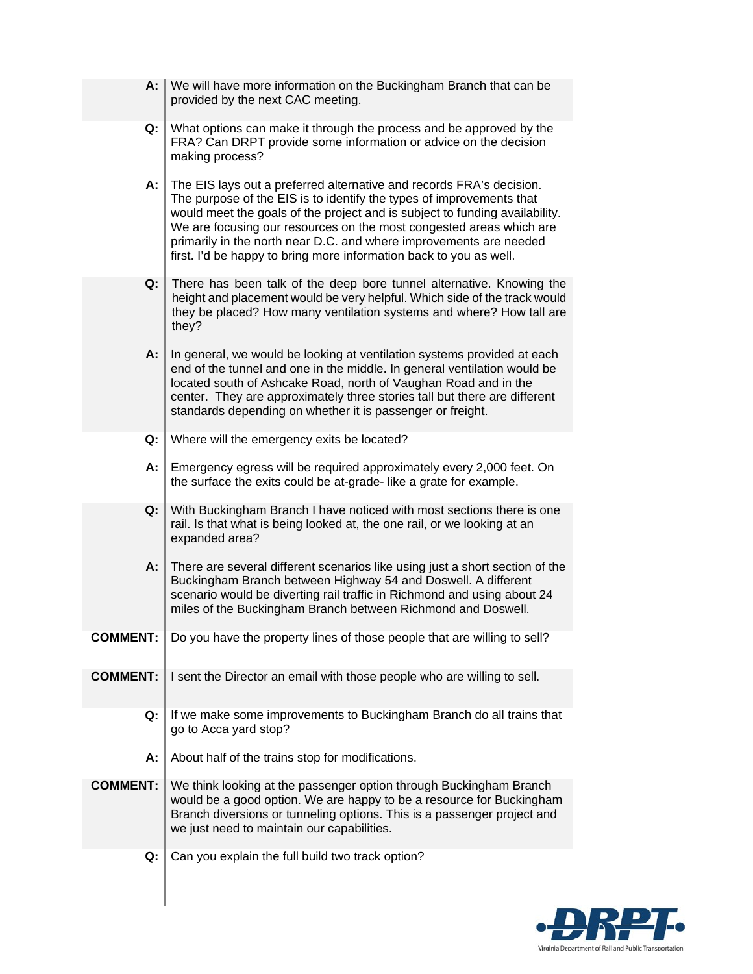| А:              | We will have more information on the Buckingham Branch that can be<br>provided by the next CAC meeting.                                                                                                                                                                                                                                                                                                                                        |
|-----------------|------------------------------------------------------------------------------------------------------------------------------------------------------------------------------------------------------------------------------------------------------------------------------------------------------------------------------------------------------------------------------------------------------------------------------------------------|
| Q:              | What options can make it through the process and be approved by the<br>FRA? Can DRPT provide some information or advice on the decision<br>making process?                                                                                                                                                                                                                                                                                     |
| А:              | The EIS lays out a preferred alternative and records FRA's decision.<br>The purpose of the EIS is to identify the types of improvements that<br>would meet the goals of the project and is subject to funding availability.<br>We are focusing our resources on the most congested areas which are<br>primarily in the north near D.C. and where improvements are needed<br>first. I'd be happy to bring more information back to you as well. |
| Q:              | There has been talk of the deep bore tunnel alternative. Knowing the<br>height and placement would be very helpful. Which side of the track would<br>they be placed? How many ventilation systems and where? How tall are<br>they?                                                                                                                                                                                                             |
| А:              | In general, we would be looking at ventilation systems provided at each<br>end of the tunnel and one in the middle. In general ventilation would be<br>located south of Ashcake Road, north of Vaughan Road and in the<br>center. They are approximately three stories tall but there are different<br>standards depending on whether it is passenger or freight.                                                                              |
| Q:              | Where will the emergency exits be located?                                                                                                                                                                                                                                                                                                                                                                                                     |
| А:              | Emergency egress will be required approximately every 2,000 feet. On<br>the surface the exits could be at-grade-like a grate for example.                                                                                                                                                                                                                                                                                                      |
| Q:              | With Buckingham Branch I have noticed with most sections there is one<br>rail. Is that what is being looked at, the one rail, or we looking at an<br>expanded area?                                                                                                                                                                                                                                                                            |
| А:              | There are several different scenarios like using just a short section of the<br>Buckingham Branch between Highway 54 and Doswell. A different<br>scenario would be diverting rail traffic in Richmond and using about 24<br>miles of the Buckingham Branch between Richmond and Doswell.                                                                                                                                                       |
| <b>COMMENT:</b> | Do you have the property lines of those people that are willing to sell?                                                                                                                                                                                                                                                                                                                                                                       |
| <b>COMMENT:</b> | I sent the Director an email with those people who are willing to sell.                                                                                                                                                                                                                                                                                                                                                                        |
| Q:              | If we make some improvements to Buckingham Branch do all trains that<br>go to Acca yard stop?                                                                                                                                                                                                                                                                                                                                                  |
| А:              | About half of the trains stop for modifications.                                                                                                                                                                                                                                                                                                                                                                                               |
| <b>COMMENT:</b> | We think looking at the passenger option through Buckingham Branch<br>would be a good option. We are happy to be a resource for Buckingham<br>Branch diversions or tunneling options. This is a passenger project and<br>we just need to maintain our capabilities.                                                                                                                                                                            |
| Q:              | Can you explain the full build two track option?                                                                                                                                                                                                                                                                                                                                                                                               |